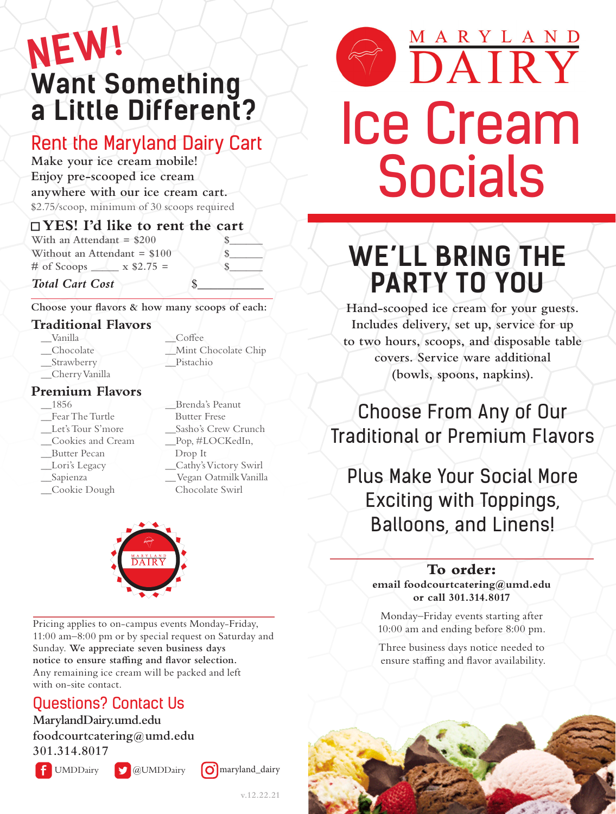# **Want Something a Little Different? NEW!**

# Rent the Maryland Dairy Cart

**Make your ice cream mobile! Enjoy pre-scooped ice cream anywhere with our ice cream cart.** \$2.75/scoop, minimum of 30 scoops required

## ■ **YES! I'd like to rent the cart**

**With an Attendant = \$200 Without an Attendant = \$100 \$**  $\#$  of Scoops  $\_\_\ x \$  \\$2.75 =

 $Total$  *Cart Cost* 

**Choose your flavors & how many scoops of each:**

## **Traditional Flavors**

\_\_Vanilla \_\_Chocolate

\_\_Coffee \_\_Mint Chocolate Chip \_\_Pistachio

\_\_Strawberry \_\_Cherry Vanilla

#### **Premium Flavors**

\_\_1856

\_\_Fear The Turtle

- \_\_Let's Tour S'more
- \_\_Cookies and Cream
- \_\_Butter Pecan
- Lori's Legacy
- \_\_Sapienza
- \_\_Cookie Dough

\_\_Brenda's Peanut Butter Frese \_\_Sasho's Crew Crunch Pop, #LOCKedIn, Drop It \_\_Cathy's Victory Swirl \_\_ Vegan Oatmilk Vanilla Chocolate Swirl



Pricing applies to on-campus events Monday-Friday, 11:00 am–8:00 pm or by special request on Saturday and Sunday. **We appreciate seven business days notice to ensure staffing and flavor selection.** Any remaining ice cream will be packed and left with on-site contact.

# Questions? Contact Us

**MarylandDairy.umd.edu foodcourtcatering@umd.edu 301.314.8017**

 $\left| \int \int \text{UMDD} \text{airy} \right|$   $\omega$  UMDDairy  $\omega$  maryland\_dairy





# **WE'LL BRING THE PARTY TO YOU**

**Hand-scooped ice cream for your guests. Includes delivery, set up, service for up to two hours, scoops, and disposable table covers. Service ware additional (bowls, spoons, napkins).**

# Choose From Any of Our Traditional or Premium Flavors

Plus Make Your Social More Exciting with Toppings, Balloons, and Linens!

### **To order:**

**email foodcourtcatering@umd.edu or call 301.314.8017**

Monday–Friday events starting after 10:00 am and ending before 8:00 pm.

Three business days notice needed to ensure staffing and flavor availability.